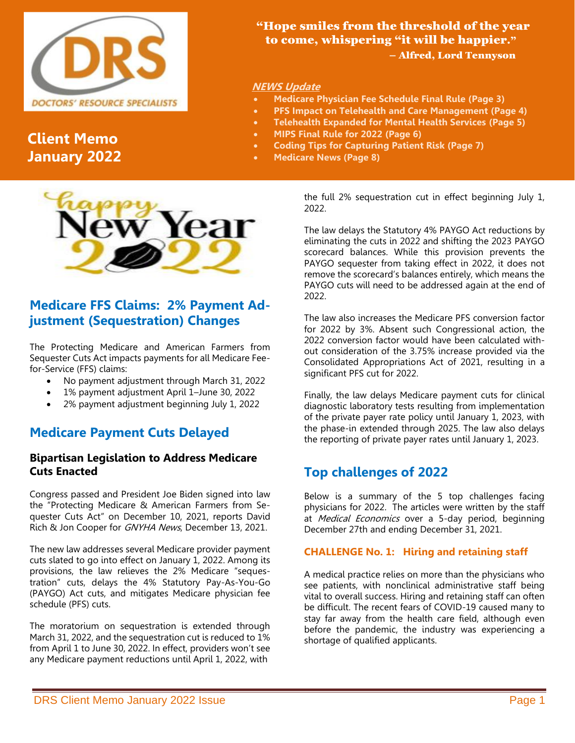

# **Client Memo January 2022**



## **Medicare FFS Claims: 2% Payment Adjustment (Sequestration) Changes**

The Protecting Medicare and American Farmers from Sequester Cuts Act impacts payments for all Medicare Feefor-Service (FFS) claims:

- No payment adjustment through March 31, 2022
- 1% payment adjustment April 1–June 30, 2022
- 2% payment adjustment beginning July 1, 2022

## **Medicare Payment Cuts Delayed**

### **Bipartisan Legislation to Address Medicare Cuts Enacted**

Congress passed and President Joe Biden signed into law the "Protecting Medicare & American Farmers from Sequester Cuts Act" on December 10, 2021, reports David Rich & Jon Cooper for GNYHA News, December 13, 2021.

The new law addresses several Medicare provider payment cuts slated to go into effect on January 1, 2022. Among its provisions, the law relieves the 2% Medicare "sequestration" cuts, delays the 4% Statutory Pay-As-You-Go (PAYGO) Act cuts, and mitigates Medicare physician fee schedule (PFS) cuts.

The moratorium on sequestration is extended through March 31, 2022, and the sequestration cut is reduced to 1% from April 1 to June 30, 2022. In effect, providers won't see any Medicare payment reductions until April 1, 2022, with

 "Hope smiles from the threshold of the year to come, whispering "it will be happier." – Alfred, Lord Tennyson

### **NEWS Update**

- **Medicare Physician Fee Schedule Final Rule (Page 3)**
- **PFS Impact on Telehealth and Care Management (Page 4)**
- **Telehealth Expanded for Mental Health Services (Page 5)**
- **MIPS Final Rule for 2022 (Page 6)**
- **Coding Tips for Capturing Patient Risk (Page 7)**
- **Medicare News (Page 8)**

the full 2% sequestration cut in effect beginning July 1, 2022.

The law delays the Statutory 4% PAYGO Act reductions by eliminating the cuts in 2022 and shifting the 2023 PAYGO scorecard balances. While this provision prevents the PAYGO sequester from taking effect in 2022, it does not remove the scorecard's balances entirely, which means the PAYGO cuts will need to be addressed again at the end of 2022.

The law also increases the Medicare PFS conversion factor for 2022 by 3%. Absent such Congressional action, the 2022 conversion factor would have been calculated without consideration of the 3.75% increase provided via the Consolidated Appropriations Act of 2021, resulting in a significant PFS cut for 2022.

Finally, the law delays Medicare payment cuts for clinical diagnostic laboratory tests resulting from implementation of the private payer rate policy until January 1, 2023, with the phase-in extended through 2025. The law also delays the reporting of private payer rates until January 1, 2023.

## **Top challenges of 2022**

Below is a summary of the 5 top challenges facing physicians for 2022. The articles were written by the staff at Medical Economics over a 5-day period, beginning December 27th and ending December 31, 2021.

#### **CHALLENGE No. 1: Hiring and retaining staff**

A medical practice relies on more than the physicians who see patients, with nonclinical administrative staff being vital to overall success. Hiring and retaining staff can often be difficult. The recent fears of COVID-19 caused many to stay far away from the health care field, although even before the pandemic, the industry was experiencing a shortage of qualified applicants.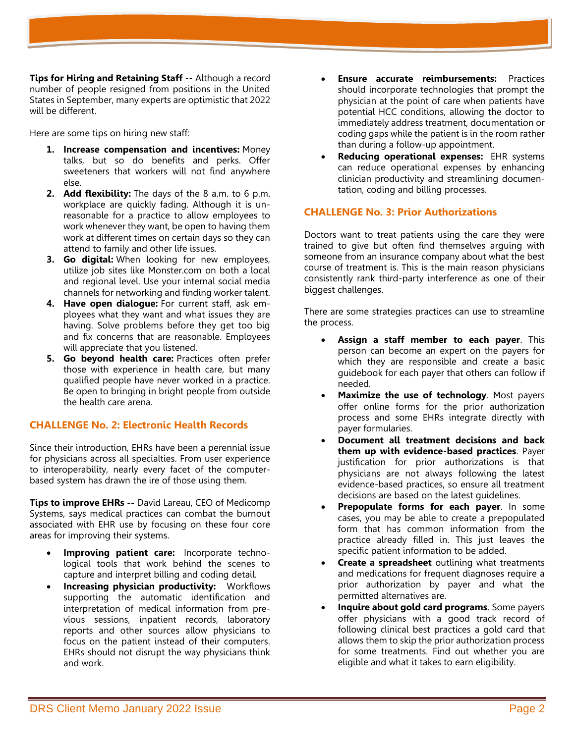**Tips for Hiring and Retaining Staff --** Although a record number of people resigned from positions in the United States in September, many experts are optimistic that 2022 will be different.

Here are some tips on hiring new staff:

- **1. Increase compensation and incentives:** Money talks, but so do benefits and perks. Offer sweeteners that workers will not find anywhere else.
- **2. Add flexibility:** The days of the 8 a.m. to 6 p.m. workplace are quickly fading. Although it is unreasonable for a practice to allow employees to work whenever they want, be open to having them work at different times on certain days so they can attend to family and other life issues.
- **3. Go digital:** When looking for new employees, utilize job sites like Monster.com on both a local and regional level. Use your internal social media channels for networking and finding worker talent.
- **4. Have open dialogue:** For current staff, ask employees what they want and what issues they are having. Solve problems before they get too big and fix concerns that are reasonable. Employees will appreciate that you listened.
- **5. Go beyond health care:** Practices often prefer those with experience in health care, but many qualified people have never worked in a practice. Be open to bringing in bright people from outside the health care arena.

### **CHALLENGE No. 2: Electronic Health Records**

Since their introduction, EHRs have been a perennial issue for physicians across all specialties. From user experience to interoperability, nearly every facet of the computerbased system has drawn the ire of those using them.

**Tips to improve EHRs --** David Lareau, CEO of Medicomp Systems, says medical practices can combat the burnout associated with EHR use by focusing on these four core areas for improving their systems.

- **Improving patient care:** Incorporate technological tools that work behind the scenes to capture and interpret billing and coding detail.
- **Increasing physician productivity: Workflows** supporting the automatic identification and interpretation of medical information from previous sessions, inpatient records, laboratory reports and other sources allow physicians to focus on the patient instead of their computers. EHRs should not disrupt the way physicians think and work.
- **Ensure accurate reimbursements:** Practices should incorporate technologies that prompt the physician at the point of care when patients have potential HCC conditions, allowing the doctor to immediately address treatment, documentation or coding gaps while the patient is in the room rather than during a follow-up appointment.
- **Reducing operational expenses:** EHR systems can reduce operational expenses by enhancing clinician productivity and streamlining documentation, coding and billing processes.

## **CHALLENGE No. 3: Prior Authorizations**

Doctors want to treat patients using the care they were trained to give but often find themselves arguing with someone from an insurance company about what the best course of treatment is. This is the main reason physicians consistently rank third-party interference as one of their biggest challenges.

There are some strategies practices can use to streamline the process.

- **Assign a staff member to each payer**. This person can become an expert on the payers for which they are responsible and create a basic guidebook for each payer that others can follow if needed.
- **Maximize the use of technology.** Most payers offer online forms for the prior authorization process and some EHRs integrate directly with payer formularies.
- **Document all treatment decisions and back them up with evidence-based practices**. Payer justification for prior authorizations is that physicians are not always following the latest evidence-based practices, so ensure all treatment decisions are based on the latest guidelines.
- **Prepopulate forms for each payer.** In some cases, you may be able to create a prepopulated form that has common information from the practice already filled in. This just leaves the specific patient information to be added.
- **Create a spreadsheet** outlining what treatments and medications for frequent diagnoses require a prior authorization by payer and what the permitted alternatives are.
- **Inquire about gold card programs**. Some payers offer physicians with a good track record of following clinical best practices a gold card that allows them to skip the prior authorization process for some treatments. Find out whether you are eligible and what it takes to earn eligibility.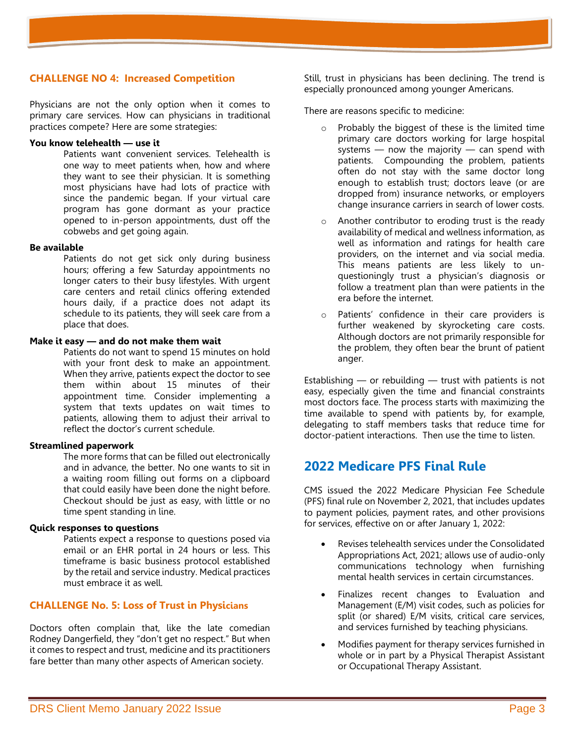### **CHALLENGE NO 4: Increased Competition**

Physicians are not the only option when it comes to primary care services. How can physicians in traditional practices compete? Here are some strategies:

#### **You know telehealth — use it**

Patients want convenient services. Telehealth is one way to meet patients when, how and where they want to see their physician. It is something most physicians have had lots of practice with since the pandemic began. If your virtual care program has gone dormant as your practice opened to in-person appointments, dust off the cobwebs and get going again.

#### **Be available**

Patients do not get sick only during business hours; offering a few Saturday appointments no longer caters to their busy lifestyles. With urgent care centers and retail clinics offering extended hours daily, if a practice does not adapt its schedule to its patients, they will seek care from a place that does.

#### **Make it easy — and do not make them wait**

Patients do not want to spend 15 minutes on hold with your front desk to make an appointment. When they arrive, patients expect the doctor to see them within about 15 minutes of their appointment time. Consider implementing a system that texts updates on wait times to patients, allowing them to adjust their arrival to reflect the doctor's current schedule.

#### **Streamlined paperwork**

The more forms that can be filled out electronically and in advance, the better. No one wants to sit in a waiting room filling out forms on a clipboard that could easily have been done the night before. Checkout should be just as easy, with little or no time spent standing in line.

#### **Quick responses to questions**

Patients expect a response to questions posed via email or an EHR portal in 24 hours or less. This timeframe is basic business protocol established by the retail and service industry. Medical practices must embrace it as well.

### **CHALLENGE No. 5: Loss of Trust in Physicians**

Doctors often complain that, like the late comedian Rodney Dangerfield, they "don't get no respect." But when it comes to respect and trust, medicine and its practitioners fare better than many other aspects of American society.

Still, trust in physicians has been declining. The trend is especially pronounced among younger Americans.

There are reasons specific to medicine:

- o Probably the biggest of these is the limited time primary care doctors working for large hospital systems — now the majority — can spend with patients. Compounding the problem, patients often do not stay with the same doctor long enough to establish trust; doctors leave (or are dropped from) insurance networks, or employers change insurance carriers in search of lower costs.
- o Another contributor to eroding trust is the ready availability of medical and wellness information, as well as information and ratings for health care providers, on the internet and via social media. This means patients are less likely to unquestioningly trust a physician's diagnosis or follow a treatment plan than were patients in the era before the internet.
- o Patients' confidence in their care providers is further weakened by skyrocketing care costs. Although doctors are not primarily responsible for the problem, they often bear the brunt of patient anger.

Establishing  $-$  or rebuilding  $-$  trust with patients is not easy, especially given the time and financial constraints most doctors face. The process starts with maximizing the time available to spend with patients by, for example, delegating to staff members tasks that reduce time for doctor-patient interactions. Then use the time to listen.

## **2022 Medicare PFS Final Rule**

CMS issued the 2022 Medicare Physician Fee Schedule (PFS) final rule on November 2, 2021, that includes updates to payment policies, payment rates, and other provisions for services, effective on or after January 1, 2022:

- Revises telehealth services under the Consolidated Appropriations Act, 2021; allows use of audio-only communications technology when furnishing mental health services in certain circumstances.
- Finalizes recent changes to Evaluation and Management (E/M) visit codes, such as policies for split (or shared) E/M visits, critical care services, and services furnished by teaching physicians.
- Modifies payment for therapy services furnished in whole or in part by a Physical Therapist Assistant or Occupational Therapy Assistant.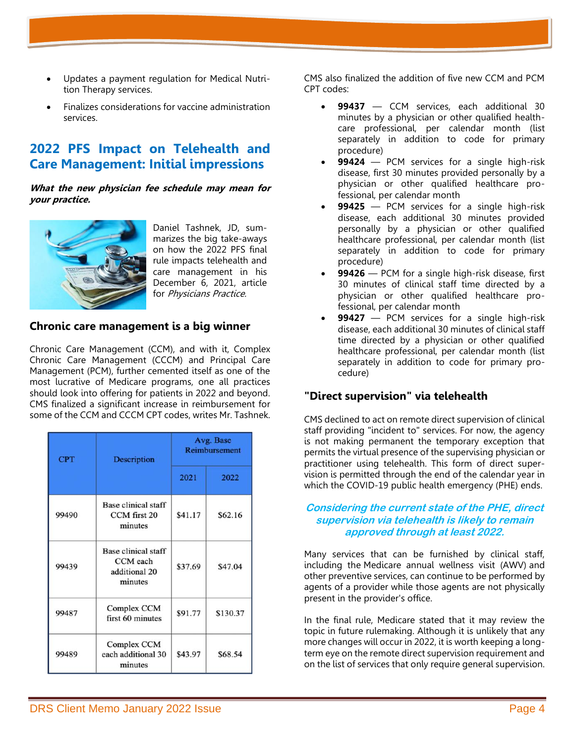- Updates a payment regulation for Medical Nutrition Therapy services.
- Finalizes considerations for vaccine administration services.

## **2022 PFS Impact on Telehealth and Care Management: Initial impressions**

**What the new physician fee schedule may mean for your practice.**



Daniel Tashnek, JD, summarizes the big take-aways on how the 2022 PFS final rule impacts telehealth and care management in his December 6, 2021, article for Physicians Practice.

### **Chronic care management is a big winner**

Chronic Care Management (CCM), and with it, Complex Chronic Care Management (CCCM) and Principal Care Management (PCM), further cemented itself as one of the most lucrative of Medicare programs, one all practices should look into offering for patients in 2022 and beyond. CMS finalized a significant increase in reimbursement for some of the CCM and CCCM CPT codes, writes Mr. Tashnek.

| <b>CPT</b> | <b>Description</b>                                          | Avg. Base<br>Reimbursement |          |  |
|------------|-------------------------------------------------------------|----------------------------|----------|--|
|            |                                                             | 2021                       | 2022     |  |
| 99490      | Base clinical staff<br>CCM first 20<br>minutes              | \$41.17                    | \$62.16  |  |
| 99439      | Base clinical staff<br>CCM each<br>additional 20<br>minutes | \$37.69                    | \$47.04  |  |
| 99487      | Complex CCM<br>first 60 minutes                             | \$91.77                    | \$130.37 |  |
| 99489      | Complex CCM<br>each additional 30<br>minutes                | \$43.97                    | \$68.54  |  |

CMS also finalized the addition of five new CCM and PCM CPT codes:

- **99437** CCM services, each additional 30 minutes by a physician or other qualified healthcare professional, per calendar month (list separately in addition to code for primary procedure)
- **99424** PCM services for a single high-risk disease, first 30 minutes provided personally by a physician or other qualified healthcare professional, per calendar month
- 99425 PCM services for a single high-risk disease, each additional 30 minutes provided personally by a physician or other qualified healthcare professional, per calendar month (list separately in addition to code for primary procedure)
- 99426 PCM for a single high-risk disease, first 30 minutes of clinical staff time directed by a physician or other qualified healthcare professional, per calendar month
- **99427** PCM services for a single high-risk disease, each additional 30 minutes of clinical staff time directed by a physician or other qualified healthcare professional, per calendar month (list separately in addition to code for primary procedure)

## **"Direct supervision" via telehealth**

CMS declined to act on remote direct supervision of clinical staff providing "incident to" services. For now, the agency is not making permanent the temporary exception that permits the virtual presence of the supervising physician or practitioner using telehealth. This form of direct supervision is permitted through the end of the calendar year in which the COVID-19 public health emergency (PHE) ends.

#### **Considering the current state of the PHE, direct supervision via telehealth is likely to remain approved through at least 2022.**

Many services that can be furnished by clinical staff, including the Medicare annual wellness visit (AWV) and other preventive services, can continue to be performed by agents of a provider while those agents are not physically present in the provider's office.

In the final rule, Medicare stated that it may review the topic in future rulemaking. Although it is unlikely that any more changes will occur in 2022, it is worth keeping a longterm eye on the remote direct supervision requirement and on the list of services that only require general supervision.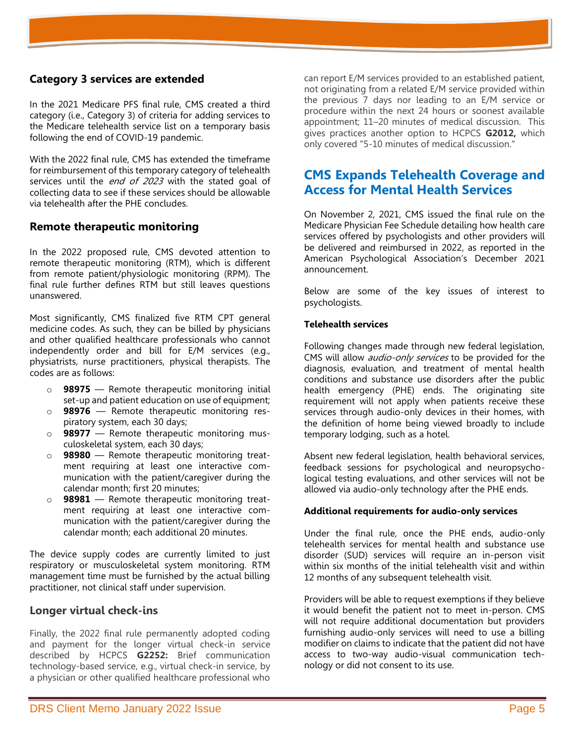## **Category 3 services are extended**

In the 2021 Medicare PFS final rule, CMS created a third category (i.e., Category 3) of criteria for adding services to the Medicare telehealth service list on a temporary basis following the end of COVID-19 pandemic.

With the 2022 final rule, CMS has extended the timeframe for reimbursement of this temporary category of telehealth services until the *end of 2023* with the stated goal of collecting data to see if these services should be allowable via telehealth after the PHE concludes.

## **Remote therapeutic monitoring**

In the 2022 proposed rule, CMS devoted attention to remote therapeutic monitoring (RTM), which is different from remote patient/physiologic monitoring (RPM). The final rule further defines RTM but still leaves questions unanswered.

Most significantly, CMS finalized five RTM CPT general medicine codes. As such, they can be billed by physicians and other qualified healthcare professionals who cannot independently order and bill for E/M services (e.g., physiatrists, nurse practitioners, physical therapists. The codes are as follows:

- o **98975** Remote therapeutic monitoring initial set-up and patient education on use of equipment;
- o **98976** Remote therapeutic monitoring respiratory system, each 30 days;
- o **98977** Remote therapeutic monitoring musculoskeletal system, each 30 days;
- o **98980** Remote therapeutic monitoring treatment requiring at least one interactive communication with the patient/caregiver during the calendar month; first 20 minutes;
- o **98981** Remote therapeutic monitoring treatment requiring at least one interactive communication with the patient/caregiver during the calendar month; each additional 20 minutes.

The device supply codes are currently limited to just respiratory or musculoskeletal system monitoring. RTM management time must be furnished by the actual billing practitioner, not clinical staff under supervision.

## **Longer virtual check-ins**

Finally, the 2022 final rule permanently adopted coding and payment for the longer virtual check-in service described by HCPCS **G2252:** Brief communication technology-based service, e.g., virtual check-in service, by a physician or other qualified healthcare professional who

can report E/M services provided to an established patient, not originating from a related E/M service provided within the previous 7 days nor leading to an E/M service or procedure within the next 24 hours or soonest available appointment; 11–20 minutes of medical discussion. This gives practices another option to HCPCS **G2012,** which only covered "5-10 minutes of medical discussion."

## **CMS Expands Telehealth Coverage and Access for Mental Health Services**

On November 2, 2021, CMS issued the final rule on the Medicare Physician Fee Schedule detailing how health care services offered by psychologists and other providers will be delivered and reimbursed in 2022, as reported in the American Psychological Association's December 2021 announcement.

Below are some of the key issues of interest to psychologists.

#### **Telehealth services**

Following changes made through new federal legislation, CMS will allow *audio-only services* to be provided for the diagnosis, evaluation, and treatment of mental health conditions and substance use disorders after the public health emergency (PHE) ends. The originating site requirement will not apply when patients receive these services through audio-only devices in their homes, with the definition of home being viewed broadly to include temporary lodging, such as a hotel.

Absent new federal legislation, health behavioral services, feedback sessions for psychological and neuropsychological testing evaluations, and other services will not be allowed via audio-only technology after the PHE ends.

#### **Additional requirements for audio-only services**

Under the final rule, once the PHE ends, audio-only telehealth services for mental health and substance use disorder (SUD) services will require an in-person visit within six months of the initial telehealth visit and within 12 months of any subsequent telehealth visit.

Providers will be able to request exemptions if they believe it would benefit the patient not to meet in-person. CMS will not require additional documentation but providers furnishing audio-only services will need to use a billing modifier on claims to indicate that the patient did not have access to two-way audio-visual communication technology or did not consent to its use.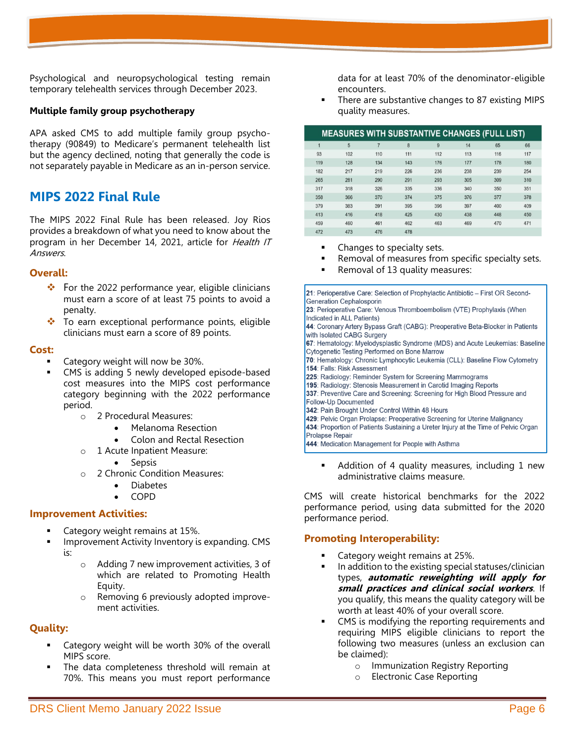Psychological and neuropsychological testing remain temporary telehealth services through December 2023.

#### **Multiple family group psychotherapy**

APA asked CMS to add multiple family group psychotherapy (90849) to Medicare's permanent telehealth list but the agency declined, noting that generally the code is not separately payable in Medicare as an in-person service.

## **MIPS 2022 Final Rule**

The MIPS 2022 Final Rule has been released. Joy Rios provides a breakdown of what you need to know about the program in her December 14, 2021, article for Health IT Answers.

#### **Overall:**

- ❖ For the 2022 performance year, eligible clinicians must earn a score of at least 75 points to avoid a penalty.
- ❖ To earn exceptional performance points, eligible clinicians must earn a score of 89 points.

#### **Cost:**

- Category weight will now be 30%.
- CMS is adding 5 newly developed episode-based cost measures into the MIPS cost performance category beginning with the 2022 performance period.

o 2 Procedural Measures:

- Melanoma Resection
- Colon and Rectal Resection
- o 1 Acute Inpatient Measure:

• Sepsis

- o 2 Chronic Condition Measures:
	- Diabetes
	- COPD

#### **Improvement Activities:**

- Category weight remains at 15%.
- Improvement Activity Inventory is expanding. CMS is:
	- o Adding 7 new improvement activities, 3 of which are related to Promoting Health Equity.
	- o Removing 6 previously adopted improvement activities.

#### **Quality:**

- Category weight will be worth 30% of the overall MIPS score.
- The data completeness threshold will remain at 70%. This means you must report performance

data for at least 70% of the denominator-eligible encounters.

There are substantive changes to 87 existing MIPS quality measures.

|     |     |                | <b>MEASURES WITH SUBSTANTIVE CHANGES (FULL LIST)</b> |     |     |     |     |
|-----|-----|----------------|------------------------------------------------------|-----|-----|-----|-----|
|     | 5   | $\overline{7}$ | 8                                                    | 9   | 14  | 65  | 66  |
| 93  | 102 | 110            | 111                                                  | 112 | 113 | 116 | 117 |
| 119 | 128 | 134            | 143                                                  | 176 | 177 | 178 | 180 |
| 182 | 217 | 219            | 226                                                  | 236 | 238 | 239 | 254 |
| 265 | 281 | 290            | 291                                                  | 293 | 305 | 309 | 310 |
| 317 | 318 | 326            | 335                                                  | 336 | 340 | 350 | 351 |
| 358 | 366 | 370            | 374                                                  | 375 | 376 | 377 | 378 |
| 379 | 383 | 391            | 395                                                  | 396 | 397 | 400 | 409 |
| 413 | 416 | 418            | 425                                                  | 430 | 438 | 448 | 450 |
| 459 | 460 | 461            | 462                                                  | 463 | 469 | 470 | 471 |
| 172 | 172 | 176            | A7Q                                                  |     |     |     |     |

- Changes to specialty sets.
- Removal of measures from specific specialty sets.
- Removal of 13 quality measures:

21: Perioperative Care: Selection of Prophylactic Antibiotic - First OR Second-**Generation Cephalosporin** 

23: Perioperative Care: Venous Thromboembolism (VTE) Prophylaxis (When Indicated in ALL Patients)

44: Coronary Artery Bypass Graft (CABG): Preoperative Beta-Blocker in Patients with Isolated CABG Surgery

67: Hematology: Myelodysplastic Syndrome (MDS) and Acute Leukemias: Baseline Cytogenetic Testing Performed on Bone Marrow

70: Hematology: Chronic Lymphocytic Leukemia (CLL): Baseline Flow Cytometry 154: Falls: Risk Assessment

- 225: Radiology: Reminder System for Screening Mammograms
- 195: Radiology: Stenosis Measurement in Carotid Imaging Reports
- 337: Preventive Care and Screening: Screening for High Blood Pressure and Follow-Up Documented
- 342: Pain Brought Under Control Within 48 Hours
- 429: Pelvic Organ Prolapse: Preoperative Screening for Uterine Malignancy
- 434: Proportion of Patients Sustaining a Ureter Injury at the Time of Pelvic Organ

**Prolapse Repair** 

444: Medication Management for People with Asthma

Addition of 4 quality measures, including 1 new administrative claims measure.

CMS will create historical benchmarks for the 2022 performance period, using data submitted for the 2020 performance period.

#### **Promoting Interoperability:**

- Category weight remains at 25%.
- In addition to the existing special statuses/clinician types, **automatic reweighting will apply for small practices and clinical social workers**. If you qualify, this means the quality category will be worth at least 40% of your overall score.
- CMS is modifying the reporting requirements and requiring MIPS eligible clinicians to report the following two measures (unless an exclusion can be claimed):
	- o Immunization Registry Reporting
	- o Electronic Case Reporting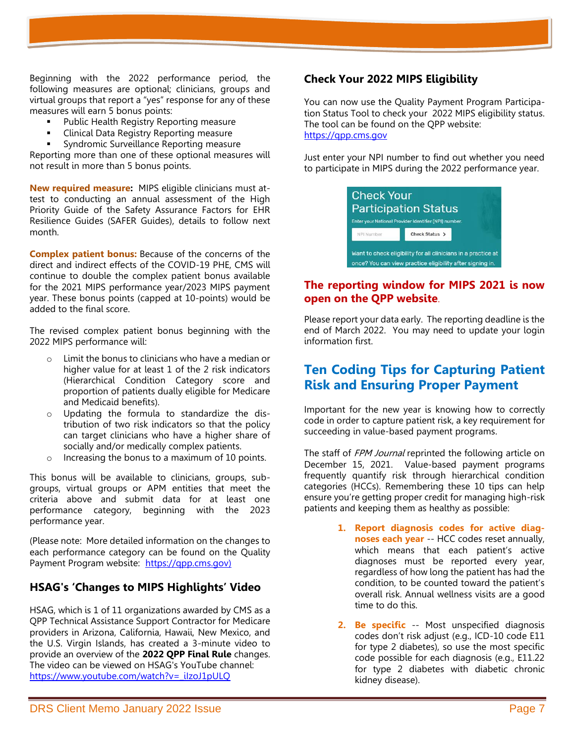Beginning with the 2022 performance period, the following measures are optional; clinicians, groups and virtual groups that report a "yes" response for any of these measures will earn 5 bonus points:

- Public Health Registry Reporting measure
- **Clinical Data Registry Reporting measure**
- Syndromic Surveillance Reporting measure

Reporting more than one of these optional measures will not result in more than 5 bonus points.

**New required measure:** MIPS eligible clinicians must attest to conducting an annual assessment of the High Priority Guide of the Safety Assurance Factors for EHR Resilience Guides (SAFER Guides), details to follow next month.

**Complex patient bonus:** Because of the concerns of the direct and indirect effects of the COVID-19 PHE, CMS will continue to double the complex patient bonus available for the 2021 MIPS performance year/2023 MIPS payment year. These bonus points (capped at 10-points) would be added to the final score.

The revised complex patient bonus beginning with the 2022 MIPS performance will:

- o Limit the bonus to clinicians who have a median or higher value for at least 1 of the 2 risk indicators (Hierarchical Condition Category score and proportion of patients dually eligible for Medicare and Medicaid benefits).
- Updating the formula to standardize the distribution of two risk indicators so that the policy can target clinicians who have a higher share of socially and/or medically complex patients.
- o Increasing the bonus to a maximum of 10 points.

This bonus will be available to clinicians, groups, subgroups, virtual groups or APM entities that meet the criteria above and submit data for at least one performance category, beginning with the 2023 performance year.

(Please note: More detailed information on the changes to each performance category can be found on the Quality Payment Program website: [https://qpp.cms.gov\)](https://qpp.cms.gov/)

## **HSAG's 'Changes to MIPS Highlights' Video**

HSAG, which is 1 of 11 organizations awarded by CMS as a QPP Technical Assistance Support Contractor for Medicare providers in Arizona, California, Hawaii, New Mexico, and the U.S. Virgin Islands, has created a 3-minute video to provide an overview of the **2022 QPP Final Rule** changes. The video can be viewed on HSAG's YouTube channel: [https://www.youtube.com/watch?v=\\_iIzoJ1pULQ](https://www.youtube.com/watch?v=_iIzoJ1pULQ)

## **Check Your 2022 MIPS Eligibility**

You can now use the [Quality Payment Program Participa](https://lnks.gd/l/eyJhbGciOiJIUzI1NiJ9.eyJidWxsZXRpbl9saW5rX2lkIjoxMTksInVyaSI6ImJwMjpjbGljayIsImJ1bGxldGluX2lkIjoiMjAyMTExMjMuNDkyNjc2MjEiLCJ1cmwiOiJodHRwczovL3FwcC5jbXMuZ292L3BhcnRpY2lwYXRpb24tbG9va3VwIn0.y7xpRXAMCgJ-jT5mY-o7kGy_D1enLOiNREU2Xh3NUNA/s/148356598/br/121570721808-l)[tion Status Tool](https://lnks.gd/l/eyJhbGciOiJIUzI1NiJ9.eyJidWxsZXRpbl9saW5rX2lkIjoxMTksInVyaSI6ImJwMjpjbGljayIsImJ1bGxldGluX2lkIjoiMjAyMTExMjMuNDkyNjc2MjEiLCJ1cmwiOiJodHRwczovL3FwcC5jbXMuZ292L3BhcnRpY2lwYXRpb24tbG9va3VwIn0.y7xpRXAMCgJ-jT5mY-o7kGy_D1enLOiNREU2Xh3NUNA/s/148356598/br/121570721808-l) to check your 2022 MIPS eligibility status. The tool can be found on the QPP website: https://qpp.cms.gov

Just enter your NPI number to find out whether you need to participate in MIPS during the 2022 performance year.



## **The reporting window for MIPS 2021 is now open on the QPP website**.

Please report your data early. The reporting deadline is the end of March 2022. You may need to update your login information first.

## **Ten Coding Tips for Capturing Patient Risk and Ensuring Proper Payment**

Important for the new year is knowing how to correctly code in order to capture patient risk, a key requirement for succeeding in value-based payment programs.

The staff of FPM Journal reprinted the following article on December 15, 2021. Value-based payment programs frequently quantify risk through hierarchical condition categories (HCCs). Remembering these 10 tips can help ensure you're getting proper credit for managing high-risk patients and keeping them as healthy as possible:

- **1. Report diagnosis codes for active diagnoses each year** -- HCC codes reset annually, which means that each patient's active diagnoses must be reported every year, regardless of how long the patient has had the condition, to be counted toward the patient's overall risk. Annual wellness visits are a good time to do this.
- **2. Be specific** -- Most unspecified diagnosis codes don't risk adjust (e.g., ICD-10 code E11 for type 2 diabetes), so use the most specific code possible for each diagnosis (e.g., E11.22 for type 2 diabetes with diabetic chronic kidney disease).